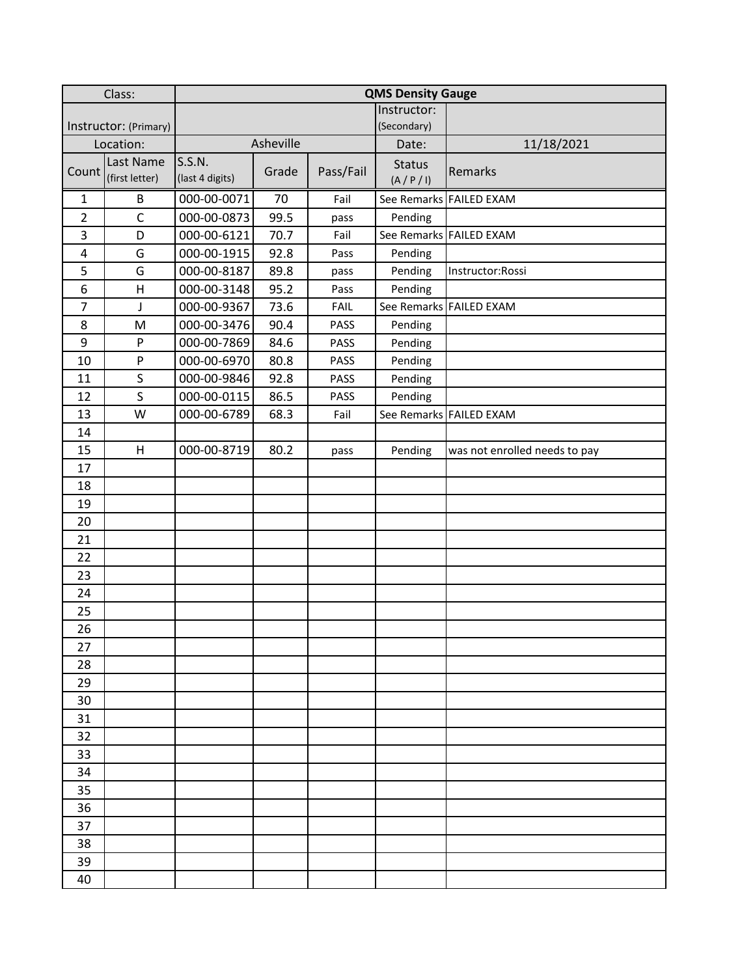| Class:                |                             | <b>QMS Density Gauge</b>  |       |             |                          |                               |
|-----------------------|-----------------------------|---------------------------|-------|-------------|--------------------------|-------------------------------|
|                       |                             |                           |       |             | Instructor:              |                               |
| Instructor: (Primary) |                             |                           |       |             | (Secondary)              |                               |
| Location:             |                             | Asheville                 |       |             | Date:                    | 11/18/2021                    |
| Count                 | Last Name<br>(first letter) | S.S.N.<br>(last 4 digits) | Grade | Pass/Fail   | <b>Status</b><br>(A/P/I) | Remarks                       |
| $\mathbf{1}$          | B                           | 000-00-0071               | 70    | Fail        |                          | See Remarks FAILED EXAM       |
| $\overline{2}$        | $\mathsf C$                 | 000-00-0873               | 99.5  | pass        | Pending                  |                               |
| 3                     | D                           | 000-00-6121               | 70.7  | Fail        |                          | See Remarks FAILED EXAM       |
| 4                     | G                           | 000-00-1915               | 92.8  | Pass        | Pending                  |                               |
| 5                     | G                           | 000-00-8187               | 89.8  | pass        | Pending                  | Instructor:Rossi              |
| 6                     | H                           | 000-00-3148               | 95.2  | Pass        | Pending                  |                               |
| $\overline{7}$        | J                           | 000-00-9367               | 73.6  | <b>FAIL</b> |                          | See Remarks FAILED EXAM       |
| 8                     | M                           | 000-00-3476               | 90.4  | PASS        | Pending                  |                               |
| 9                     | P                           | 000-00-7869               | 84.6  | PASS        | Pending                  |                               |
| 10                    | P                           | 000-00-6970               | 80.8  | PASS        | Pending                  |                               |
| 11                    | S                           | 000-00-9846               | 92.8  | <b>PASS</b> | Pending                  |                               |
| 12                    | S                           | 000-00-0115               | 86.5  | PASS        | Pending                  |                               |
| 13                    | W                           | 000-00-6789               | 68.3  | Fail        |                          | See Remarks FAILED EXAM       |
| 14                    |                             |                           |       |             |                          |                               |
| 15                    | H                           | 000-00-8719               | 80.2  | pass        | Pending                  | was not enrolled needs to pay |
| 17                    |                             |                           |       |             |                          |                               |
| 18                    |                             |                           |       |             |                          |                               |
| 19                    |                             |                           |       |             |                          |                               |
| 20                    |                             |                           |       |             |                          |                               |
| 21                    |                             |                           |       |             |                          |                               |
| 22                    |                             |                           |       |             |                          |                               |
| 23                    |                             |                           |       |             |                          |                               |
| 24                    |                             |                           |       |             |                          |                               |
| 25                    |                             |                           |       |             |                          |                               |
| 26                    |                             |                           |       |             |                          |                               |
| 27                    |                             |                           |       |             |                          |                               |
| 28                    |                             |                           |       |             |                          |                               |
| 29                    |                             |                           |       |             |                          |                               |
| 30                    |                             |                           |       |             |                          |                               |
| 31                    |                             |                           |       |             |                          |                               |
| 32                    |                             |                           |       |             |                          |                               |
| 33                    |                             |                           |       |             |                          |                               |
| 34                    |                             |                           |       |             |                          |                               |
| 35                    |                             |                           |       |             |                          |                               |
| 36                    |                             |                           |       |             |                          |                               |
| 37                    |                             |                           |       |             |                          |                               |
| 38                    |                             |                           |       |             |                          |                               |
| 39                    |                             |                           |       |             |                          |                               |
| 40                    |                             |                           |       |             |                          |                               |